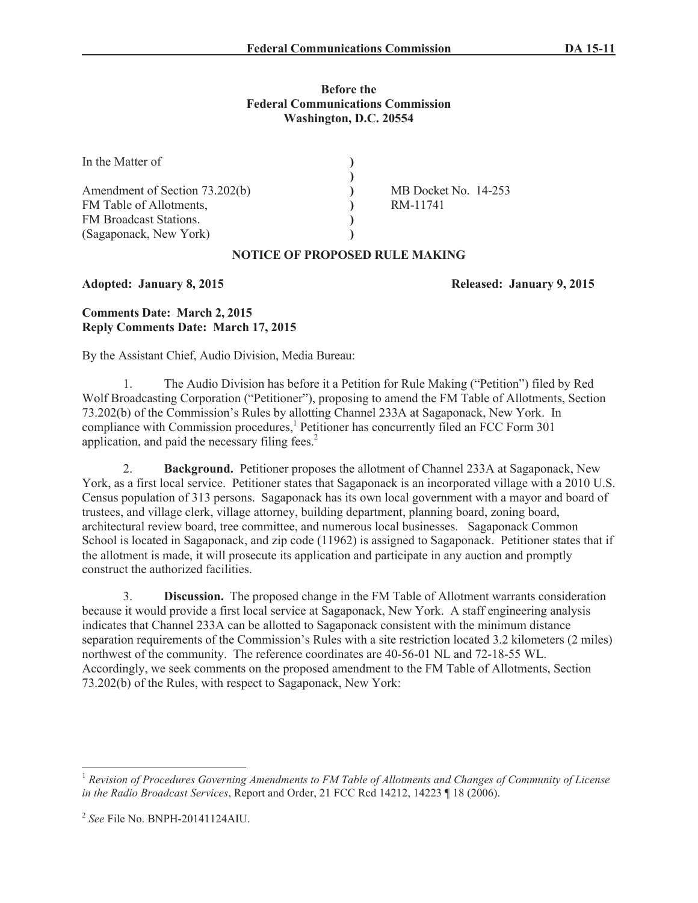### **Before the Federal Communications Commission Washington, D.C. 20554**

| In the Matter of                                          |                                  |
|-----------------------------------------------------------|----------------------------------|
| Amendment of Section 73.202(b)<br>FM Table of Allotments, | MB Docket No. 14-253<br>RM-11741 |
| FM Broadcast Stations.<br>(Sagaponack, New York)          |                                  |

## **NOTICE OF PROPOSED RULE MAKING**

**Adopted: January 8, 2015 Released: January 9, 2015**

# **Comments Date: March 2, 2015 Reply Comments Date: March 17, 2015**

By the Assistant Chief, Audio Division, Media Bureau:

1. The Audio Division has before it a Petition for Rule Making ("Petition") filed by Red Wolf Broadcasting Corporation ("Petitioner"), proposing to amend the FM Table of Allotments, Section 73.202(b) of the Commission's Rules by allotting Channel 233A at Sagaponack, New York. In compliance with Commission procedures,<sup>1</sup> Petitioner has concurrently filed an FCC Form 301 application, and paid the necessary filing fees.<sup>2</sup>

2. **Background.** Petitioner proposes the allotment of Channel 233A at Sagaponack, New York, as a first local service. Petitioner states that Sagaponack is an incorporated village with a 2010 U.S. Census population of 313 persons. Sagaponack has its own local government with a mayor and board of trustees, and village clerk, village attorney, building department, planning board, zoning board, architectural review board, tree committee, and numerous local businesses. Sagaponack Common School is located in Sagaponack, and zip code (11962) is assigned to Sagaponack. Petitioner states that if the allotment is made, it will prosecute its application and participate in any auction and promptly construct the authorized facilities.

3. **Discussion.** The proposed change in the FM Table of Allotment warrants consideration because it would provide a first local service at Sagaponack, New York. A staff engineering analysis indicates that Channel 233A can be allotted to Sagaponack consistent with the minimum distance separation requirements of the Commission's Rules with a site restriction located 3.2 kilometers (2 miles) northwest of the community. The reference coordinates are 40-56-01 NL and 72-18-55 WL. Accordingly, we seek comments on the proposed amendment to the FM Table of Allotments, Section 73.202(b) of the Rules, with respect to Sagaponack, New York:

<sup>1</sup> *Revision of Procedures Governing Amendments to FM Table of Allotments and Changes of Community of License in the Radio Broadcast Services*, Report and Order, 21 FCC Rcd 14212, 14223 ¶ 18 (2006).

<sup>2</sup> *See* File No. BNPH-20141124AIU.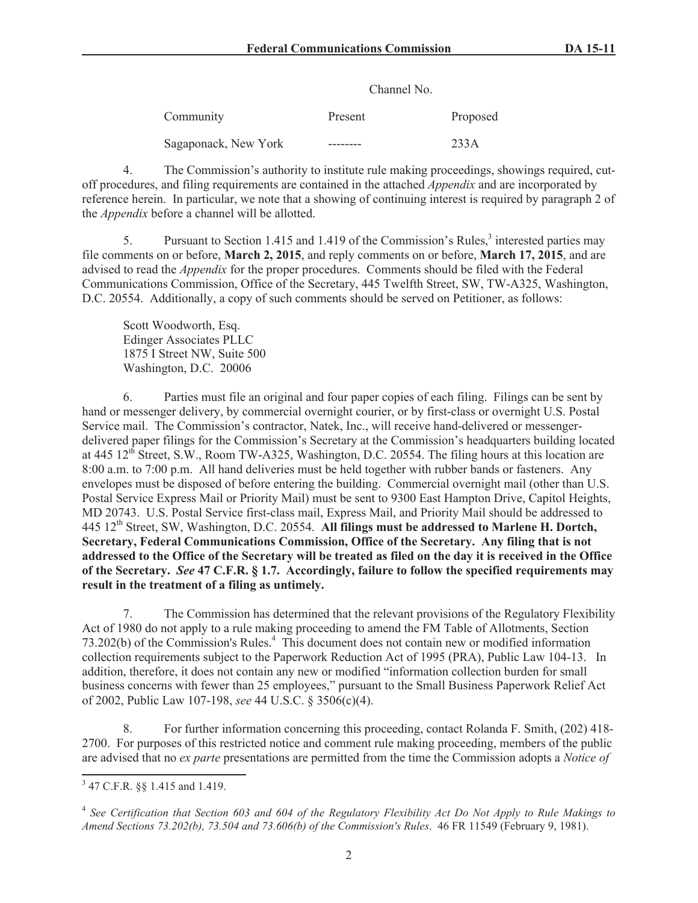#### Channel No.

| Community            | Present | Proposed |
|----------------------|---------|----------|
| Sagaponack, New York |         | 233A     |

4. The Commission's authority to institute rule making proceedings, showings required, cutoff procedures, and filing requirements are contained in the attached *Appendix* and are incorporated by reference herein. In particular, we note that a showing of continuing interest is required by paragraph 2 of the *Appendix* before a channel will be allotted.

5. Pursuant to Section 1.415 and 1.419 of the Commission's Rules,<sup>3</sup> interested parties may file comments on or before, **March 2, 2015**, and reply comments on or before, **March 17, 2015**, and are advised to read the *Appendix* for the proper procedures. Comments should be filed with the Federal Communications Commission, Office of the Secretary, 445 Twelfth Street, SW, TW-A325, Washington, D.C. 20554. Additionally, a copy of such comments should be served on Petitioner, as follows:

Scott Woodworth, Esq. Edinger Associates PLLC 1875 I Street NW, Suite 500 Washington, D.C. 20006

6. Parties must file an original and four paper copies of each filing. Filings can be sent by hand or messenger delivery, by commercial overnight courier, or by first-class or overnight U.S. Postal Service mail. The Commission's contractor, Natek, Inc., will receive hand-delivered or messengerdelivered paper filings for the Commission's Secretary at the Commission's headquarters building located at 445 12<sup>th</sup> Street, S.W., Room TW-A325, Washington, D.C. 20554. The filing hours at this location are 8:00 a.m. to 7:00 p.m. All hand deliveries must be held together with rubber bands or fasteners. Any envelopes must be disposed of before entering the building. Commercial overnight mail (other than U.S. Postal Service Express Mail or Priority Mail) must be sent to 9300 East Hampton Drive, Capitol Heights, MD 20743. U.S. Postal Service first-class mail, Express Mail, and Priority Mail should be addressed to 445 12<sup>th</sup> Street, SW, Washington, D.C. 20554. All filings must be addressed to Marlene H. Dortch, **Secretary, Federal Communications Commission, Office of the Secretary. Any filing that is not addressed to the Office of the Secretary will be treated as filed on the day it is received in the Office of the Secretary.** *See* **47 C.F.R. § 1.7. Accordingly, failure to follow the specified requirements may result in the treatment of a filing as untimely.** 

7. The Commission has determined that the relevant provisions of the Regulatory Flexibility Act of 1980 do not apply to a rule making proceeding to amend the FM Table of Allotments, Section 73.202(b) of the Commission's Rules.<sup>4</sup> This document does not contain new or modified information collection requirements subject to the Paperwork Reduction Act of 1995 (PRA), Public Law 104-13. In addition, therefore, it does not contain any new or modified "information collection burden for small business concerns with fewer than 25 employees," pursuant to the Small Business Paperwork Relief Act of 2002, Public Law 107-198, *see* 44 U.S.C. § 3506(c)(4).

8. For further information concerning this proceeding, contact Rolanda F. Smith, (202) 418- 2700. For purposes of this restricted notice and comment rule making proceeding, members of the public are advised that no *ex parte* presentations are permitted from the time the Commission adopts a *Notice of* 

<sup>3</sup> 47 C.F.R. §§ 1.415 and 1.419.

<sup>&</sup>lt;sup>4</sup> See Certification that Section 603 and 604 of the Regulatory Flexibility Act Do Not Apply to Rule Makings to *Amend Sections 73.202(b), 73.504 and 73.606(b) of the Commission's Rules*. 46 FR 11549 (February 9, 1981).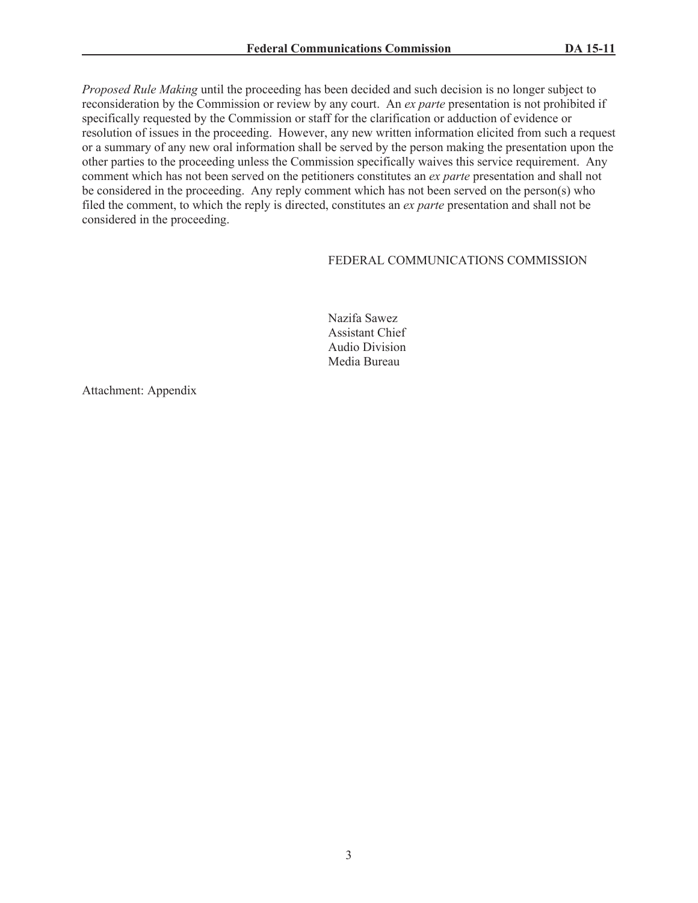*Proposed Rule Making* until the proceeding has been decided and such decision is no longer subject to reconsideration by the Commission or review by any court. An *ex parte* presentation is not prohibited if specifically requested by the Commission or staff for the clarification or adduction of evidence or resolution of issues in the proceeding. However, any new written information elicited from such a request or a summary of any new oral information shall be served by the person making the presentation upon the other parties to the proceeding unless the Commission specifically waives this service requirement. Any comment which has not been served on the petitioners constitutes an *ex parte* presentation and shall not be considered in the proceeding. Any reply comment which has not been served on the person(s) who filed the comment, to which the reply is directed, constitutes an *ex parte* presentation and shall not be considered in the proceeding.

### FEDERAL COMMUNICATIONS COMMISSION

Nazifa Sawez Assistant Chief Audio Division Media Bureau

Attachment: Appendix